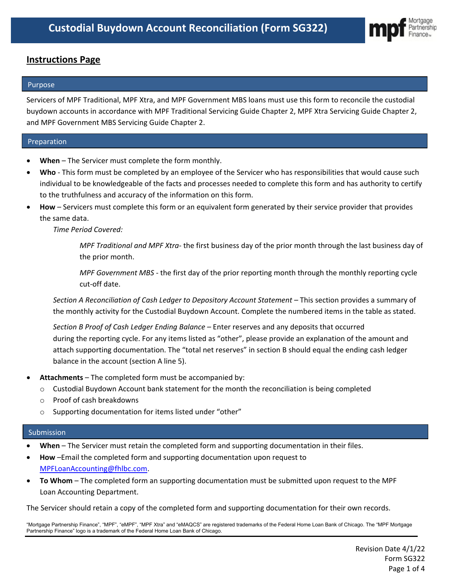

# **Instructions Page**

### Purpose

Servicers of MPF Traditional, MPF Xtra, and MPF Government MBS loans must use this form to reconcile the custodial buydown accounts in accordance with MPF Traditional Servicing Guide Chapter 2, MPF Xtra Servicing Guide Chapter 2, and MPF Government MBS Servicing Guide Chapter 2.

# Preparation

- **When**  The Servicer must complete the form monthly.
- **Who** This form must be completed by an employee of the Servicer who has responsibilities that would cause such individual to be knowledgeable of the facts and processes needed to complete this form and has authority to certify to the truthfulness and accuracy of the information on this form.
- **How** Servicers must complete this form or an equivalent form generated by their service provider that provides the same data.

*Time Period Covered:*

*MPF Traditional and MPF Xtra-* the first business day of the prior month through the last business day of the prior month.

*MPF Government MBS -* the first day of the prior reporting month through the monthly reporting cycle cut-off date.

*Section A Reconciliation of Cash Ledger to Depository Account Statement –* This section provides a summary of the monthly activity for the Custodial Buydown Account. Complete the numbered items in the table as stated.

*Section B Proof of Cash Ledger Ending Balance –* Enter reserves and any deposits that occurred during the reporting cycle. For any items listed as "other", please provide an explanation of the amount and attach supporting documentation. The "total net reserves" in section B should equal the ending cash ledger balance in the account (section A line 5).

- **Attachments** The completed form must be accompanied by:
	- $\circ$  Custodial Buydown Account bank statement for the month the reconciliation is being completed
	- o Proof of cash breakdowns
	- o Supporting documentation for items listed under "other"

# Submission

- **When** The Servicer must retain the completed form and supporting documentation in their files.
- **How** –Email the completed form and supporting documentation upon request to [MPFLoanAccounting@fhlbc.com.](mailto:MPFLoanAccounting@fhlbc.com)
- **To Whom** The completed form an supporting documentation must be submitted upon request to the MPF Loan Accounting Department.

The Servicer should retain a copy of the completed form and supporting documentation for their own records.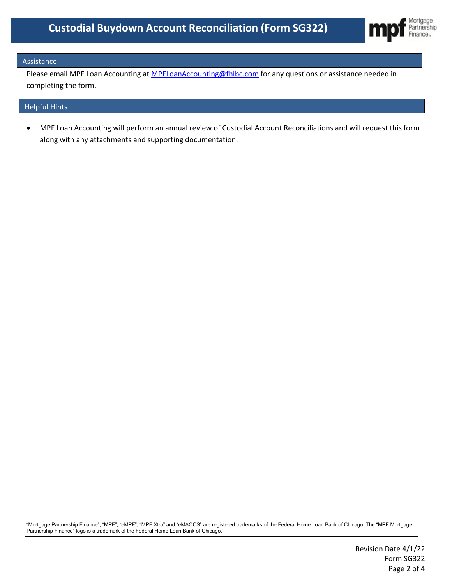

### Assistance

Please email MPF Loan Accounting at **MPFLoanAccounting@fhlbc.com** for any questions or assistance needed in completing the form.

#### Helpful Hints

• MPF Loan Accounting will perform an annual review of Custodial Account Reconciliations and will request this form along with any attachments and supporting documentation.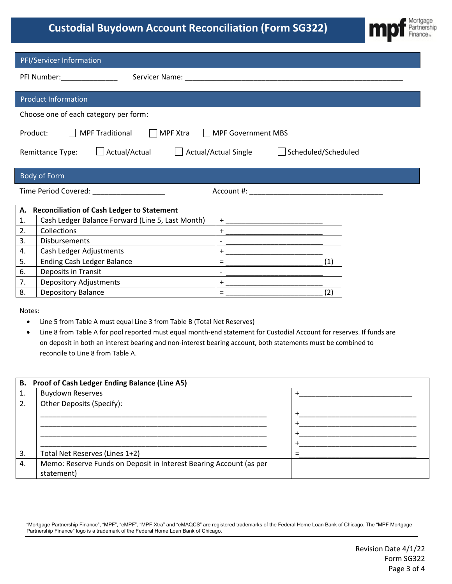# **Custodial Buydown Account Reconciliation (Form SG322)**



| PFI/Servicer Information                                                                                                                                                                                                                                           |  |  |  |
|--------------------------------------------------------------------------------------------------------------------------------------------------------------------------------------------------------------------------------------------------------------------|--|--|--|
| PFI Number: National PFI Number:<br>Servicer Name: Name and Service and Service and Service and Service and Service and Service and Service and Service and Service and Service and Service and Service and Service and Service and Service and Service and Servic |  |  |  |
| <b>Product Information</b>                                                                                                                                                                                                                                         |  |  |  |
| Choose one of each category per form:                                                                                                                                                                                                                              |  |  |  |
| Product:<br><b>MPF Traditional</b><br><b>MPF Xtra</b><br><b>MPF Government MBS</b>                                                                                                                                                                                 |  |  |  |
| Actual/Actual<br>Actual/Actual Single<br>Scheduled/Scheduled<br>Remittance Type:                                                                                                                                                                                   |  |  |  |
| <b>Body of Form</b>                                                                                                                                                                                                                                                |  |  |  |
| Time Period Covered: ___________________                                                                                                                                                                                                                           |  |  |  |
| <b>Reconciliation of Cash Ledger to Statement</b><br>А.                                                                                                                                                                                                            |  |  |  |
| Cash Ledger Balance Forward (Line 5, Last Month)<br>1.<br>$+$                                                                                                                                                                                                      |  |  |  |
| Collections<br>2.<br>$+$                                                                                                                                                                                                                                           |  |  |  |
| Disbursements<br>3.<br>$\overline{a}$                                                                                                                                                                                                                              |  |  |  |
| Cash Ledger Adjustments<br>4.<br>$\ddot{}$                                                                                                                                                                                                                         |  |  |  |
| <b>Ending Cash Ledger Balance</b><br>(1)<br>5.<br>$=$                                                                                                                                                                                                              |  |  |  |
| Deposits in Transit<br>6.                                                                                                                                                                                                                                          |  |  |  |
| <b>Depository Adjustments</b><br>7.<br>$\ddot{}$                                                                                                                                                                                                                   |  |  |  |
| <b>Depository Balance</b><br>$=$<br>(2)<br>8.                                                                                                                                                                                                                      |  |  |  |
| Notes:                                                                                                                                                                                                                                                             |  |  |  |
| Line 5 from Table A must equal Line 3 from Table B (Total Net Reserves)                                                                                                                                                                                            |  |  |  |
| Line 8 from Table A for pool reported must equal month-end statement for Custodial Account for reserves. If funds are<br>$\bullet$                                                                                                                                 |  |  |  |
| on deposit in both an interest bearing and non-interest bearing account, both statements must be combined to                                                                                                                                                       |  |  |  |
| reconcile to Line 8 from Table A.                                                                                                                                                                                                                                  |  |  |  |
|                                                                                                                                                                                                                                                                    |  |  |  |
| B. Proof of Cash Ledger Ending Balance (Line A5)                                                                                                                                                                                                                   |  |  |  |
|                                                                                                                                                                                                                                                                    |  |  |  |

| <b>Buydown Reserves</b>                                                  |  |
|--------------------------------------------------------------------------|--|
| 1.                                                                       |  |
| Other Deposits (Specify):<br>2.                                          |  |
|                                                                          |  |
|                                                                          |  |
|                                                                          |  |
|                                                                          |  |
| Total Net Reserves (Lines 1+2)<br>3.                                     |  |
| Memo: Reserve Funds on Deposit in Interest Bearing Account (as per<br>4. |  |
| statement)                                                               |  |

 $\overline{\phantom{a}}$